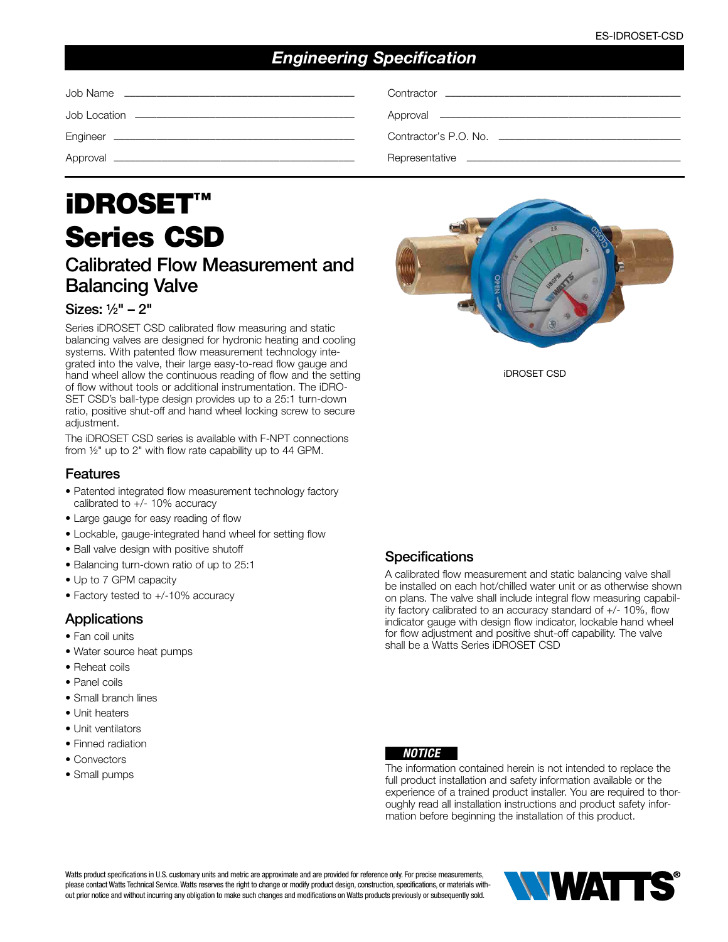# *Engineering Specification*

| Contractor's P.O. No. ________________________________ |
|--------------------------------------------------------|
|                                                        |

# iDROSET™ Series CSD

# Calibrated Flow Measurement and Balancing Valve

#### Sizes: 1⁄2" – 2"

Series iDROSET CSD calibrated flow measuring and static balancing valves are designed for hydronic heating and cooling systems. With patented flow measurement technology integrated into the valve, their large easy-to-read flow gauge and hand wheel allow the continuous reading of flow and the setting of flow without tools or additional instrumentation. The iDRO-SET CSD's ball-type design provides up to a 25:1 turn-down ratio, positive shut-off and hand wheel locking screw to secure adjustment.

The iDROSET CSD series is available with F-NPT connections from ½" up to 2" with flow rate capability up to 44 GPM.

#### Features

- Patented integrated flow measurement technology factory calibrated to +/- 10% accuracy
- Large gauge for easy reading of flow
- Lockable, gauge-integrated hand wheel for setting flow
- Ball valve design with positive shutoff
- Balancing turn-down ratio of up to 25:1
- Up to 7 GPM capacity
- Factory tested to +/-10% accuracy

#### **Applications**

- Fan coil units
- Water source heat pumps
- Reheat coils
- Panel coils
- Small branch lines
- Unit heaters
- Unit ventilators
- Finned radiation
- Convectors
- Small pumps



iDROSET CSD

#### **Specifications**

A calibrated flow measurement and static balancing valve shall be installed on each hot/chilled water unit or as otherwise shown on plans. The valve shall include integral flow measuring capability factory calibrated to an accuracy standard of +/- 10%, flow indicator gauge with design flow indicator, lockable hand wheel for flow adjustment and positive shut-off capability. The valve shall be a Watts Series iDROSET CSD



The information contained herein is not intended to replace the full product installation and safety information available or the experience of a trained product installer. You are required to thoroughly read all installation instructions and product safety information before beginning the installation of this product.

Watts product specifications in U.S. customary units and metric are approximate and are provided for reference only. For precise measurements, please contact Watts Technical Service. Watts reserves the right to change or modify product design, construction, specifications, or materials without prior notice and without incurring any obligation to make such changes and modifications on Watts products previously or subsequently sold.